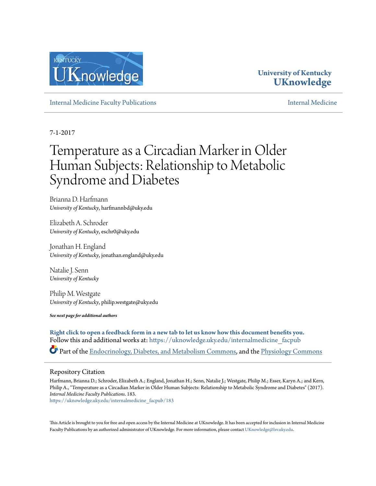

# **University of Kentucky [UKnowledge](https://uknowledge.uky.edu?utm_source=uknowledge.uky.edu%2Finternalmedicine_facpub%2F183&utm_medium=PDF&utm_campaign=PDFCoverPages)**

[Internal Medicine Faculty Publications](https://uknowledge.uky.edu/internalmedicine_facpub?utm_source=uknowledge.uky.edu%2Finternalmedicine_facpub%2F183&utm_medium=PDF&utm_campaign=PDFCoverPages) [Internal Medicine](https://uknowledge.uky.edu/internalmedicine?utm_source=uknowledge.uky.edu%2Finternalmedicine_facpub%2F183&utm_medium=PDF&utm_campaign=PDFCoverPages)

7-1-2017

# Temperature as a Circadian Marker in Older Human Subjects: Relationship to Metabolic Syndrome and Diabetes

Brianna D. Harfmann *University of Kentucky*, harfmannbd@uky.edu

Elizabeth A. Schroder *University of Kentucky*, eschr0@uky.edu

Jonathan H. England *University of Kentucky*, jonathan.england@uky.edu

Natalie J. Senn *University of Kentucky*

Philip M. Westgate *University of Kentucky*, philip.westgate@uky.edu

*See next page for additional authors*

**[Right click to open a feedback form in a new tab to let us know how this document benefits you.](https://uky.az1.qualtrics.com/jfe/form/SV_9mq8fx2GnONRfz7)** Follow this and additional works at: [https://uknowledge.uky.edu/internalmedicine\\_facpub](https://uknowledge.uky.edu/internalmedicine_facpub?utm_source=uknowledge.uky.edu%2Finternalmedicine_facpub%2F183&utm_medium=PDF&utm_campaign=PDFCoverPages)

Part of the [Endocrinology, Diabetes, and Metabolism Commons](http://network.bepress.com/hgg/discipline/686?utm_source=uknowledge.uky.edu%2Finternalmedicine_facpub%2F183&utm_medium=PDF&utm_campaign=PDFCoverPages), and the [Physiology Commons](http://network.bepress.com/hgg/discipline/69?utm_source=uknowledge.uky.edu%2Finternalmedicine_facpub%2F183&utm_medium=PDF&utm_campaign=PDFCoverPages)

# Repository Citation

Harfmann, Brianna D.; Schroder, Elizabeth A.; England, Jonathan H.; Senn, Natalie J.; Westgate, Philip M.; Esser, Karyn A.; and Kern, Philip A., "Temperature as a Circadian Marker in Older Human Subjects: Relationship to Metabolic Syndrome and Diabetes" (2017). *Internal Medicine Faculty Publications*. 183.

[https://uknowledge.uky.edu/internalmedicine\\_facpub/183](https://uknowledge.uky.edu/internalmedicine_facpub/183?utm_source=uknowledge.uky.edu%2Finternalmedicine_facpub%2F183&utm_medium=PDF&utm_campaign=PDFCoverPages)

This Article is brought to you for free and open access by the Internal Medicine at UKnowledge. It has been accepted for inclusion in Internal Medicine Faculty Publications by an authorized administrator of UKnowledge. For more information, please contact [UKnowledge@lsv.uky.edu](mailto:UKnowledge@lsv.uky.edu).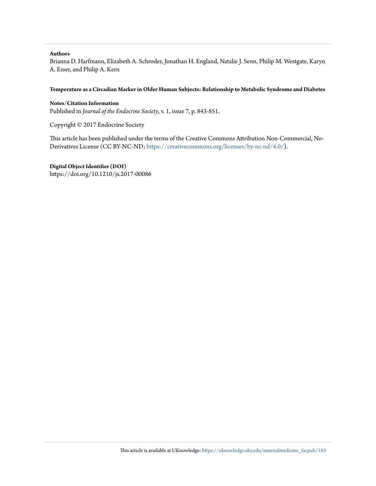# **Authors**

Brianna D. Harfmann, Elizabeth A. Schroder, Jonathan H. England, Natalie J. Senn, Philip M. Westgate, Karyn A. Esser, and Philip A. Kern

### **Temperature as a Circadian Marker in Older Human Subjects: Relationship to Metabolic Syndrome and Diabetes**

**Notes/Citation Information** Published in *Journal of the Endocrine Society*, v. 1, issue 7, p. 843-851.

Copyright © 2017 Endocrine Society

This article has been published under the terms of the Creative Commons Attribution Non-Commercial, No-Derivatives License (CC BY-NC-ND; <https://creativecommons.org/licenses/by-nc-nd/4.0/>).

**Digital Object Identifier (DOI)**

https://doi.org/10.1210/js.2017-00086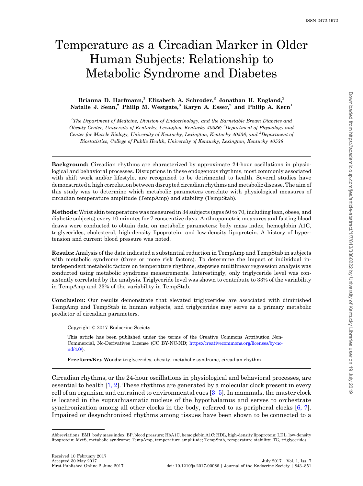# Temperature as a Circadian Marker in Older Human Subjects: Relationship to Metabolic Syndrome and Diabetes

# Brianna D. Harfmann,<sup>1</sup> Elizabeth A. Schroder,<sup>2</sup> Jonathan H. England,<sup>2</sup> Natalie J. Senn,<sup>2</sup> Philip M. Westgate,<sup>3</sup> Karyn A. Esser,<sup>2</sup> and Philip A. Kern<sup>1</sup>

 ${}^{1}$ The Department of Medicine, Division of Endocrinology, and the Barnstable Brown Diabetes and Obesity Center, University of Kentucky, Lexington, Kentucky 40536; <sup>2</sup>Department of Physiology and Center for Muscle Biology, University of Kentucky, Lexington, Kentucky 40536; and <sup>3</sup>Department of Biostatistics, College of Public Health, University of Kentucky, Lexington, Kentucky 40536

Background: Circadian rhythms are characterized by approximate 24-hour oscillations in physiological and behavioral processes. Disruptions in these endogenous rhythms, most commonly associated with shift work and/or lifestyle, are recognized to be detrimental to health. Several studies have demonstrated a high correlation between disrupted circadian rhythms and metabolic disease. The aim of this study was to determine which metabolic parameters correlate with physiological measures of circadian temperature amplitude (TempAmp) and stability (TempStab).

Methods: Wrist skin temperature was measured in 34 subjects (ages 50 to 70, including lean, obese, and diabetic subjects) every 10 minutes for 7 consecutive days. Anthropometric measures and fasting blood draws were conducted to obtain data on metabolic parameters: body mass index, hemoglobin A1C, triglycerides, cholesterol, high-density lipoprotein, and low-density lipoprotein. A history of hypertension and current blood pressure was noted.

Results: Analysis of the data indicated a substantial reduction in TempAmp and TempStab in subjects with metabolic syndrome (three or more risk factors). To determine the impact of individual interdependent metabolic factors on temperature rhythms, stepwise multilinear regression analysis was conducted using metabolic syndrome measurements. Interestingly, only triglyceride level was consistently correlated by the analysis. Triglyceride level was shown to contribute to 33% of the variability in TempAmp and 23% of the variability in TempStab.

Conclusion: Our results demonstrate that elevated triglycerides are associated with diminished TempAmp and TempStab in human subjects, and triglycerides may serve as a primary metabolic predictor of circadian parameters.

Copyright © 2017 Endocrine Society

This article has been published under the terms of the Creative Commons Attribution Non-Commercial, No-Derivatives License (CC BY-NC-ND; [https://creativecommons.org/licenses/by-nc](https://creativecommons.org/licenses/by-nc-nd/4.0/)[nd/4.0/](https://creativecommons.org/licenses/by-nc-nd/4.0/)).

Freeform/Key Words: triglycerides, obesity, metabolic syndrome, circadian rhythm

Circadian rhythms, or the 24-hour oscillations in physiological and behavioral processes, are essential to health [[1, 2](#page-9-0)]. These rhythms are generated by a molecular clock present in every cell of an organism and entrained to environmental cues [\[3](#page-9-0)–[5\]](#page-9-0). In mammals, the master clock is located in the suprachiasmatic nucleus of the hypothalamus and serves to orchestrate synchronization among all other clocks in the body, referred to as peripheral clocks [[6, 7\]](#page-9-0). Impaired or desynchronized rhythms among tissues have been shown to be connected to a

Abbreviations: BMI, body mass index; BP, blood pressure; HbA1C, hemoglobin A1C; HDL, high-density lipoprotein; LDL, low-density lipoprotein; MetS, metabolic syndrome; TempAmp, temperature amplitude; TempStab, temperature stability; TG, triglycerides.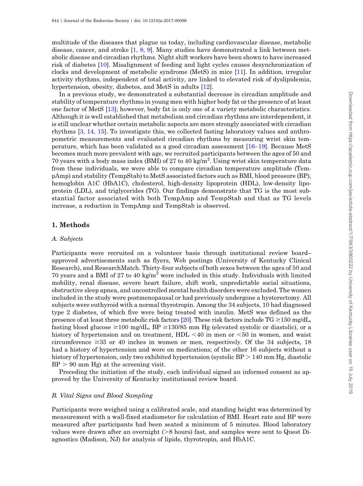multitude of the diseases that plague us today, including cardiovascular disease, metabolic disease, cancer, and stroke [\[1, 8, 9\]](#page-9-0). Many studies have demonstrated a link between metabolic disease and circadian rhythms. Night shift workers have been shown to have increased risk of diabetes [\[10](#page-9-0)]. Misalignment of feeding and light cycles causes desynchronization of clocks and development of metabolic syndrome (MetS) in mice [[11\]](#page-9-0). In addition, irregular activity rhythms, independent of total activity, are linked to elevated risk of dyslipidemia, hypertension, obesity, diabetes, and MetS in adults [\[12](#page-9-0)].

In a previous study, we demonstrated a substantial decrease in circadian amplitude and stability of temperature rhythms in young men with higher body fat or the presence of at least one factor of MetS [\[13](#page-9-0)]; however, body fat is only one of a variety metabolic characteristics. Although it is well established that metabolism and circadian rhythms are interdependent, it is still unclear whether certain metabolic aspects are more strongly associated with circadian rhythms [[3, 14, 15](#page-9-0)]. To investigate this, we collected fasting laboratory values and anthropometric measurements and evaluated circadian rhythms by measuring wrist skin temperature, which has been validated as a good circadian assessment [[16](#page-9-0)–[19](#page-9-0)]. Because MetS becomes much more prevalent with age, we recruited participants between the ages of 50 and 70 years with a body mass index (BMI) of 27 to 40 kg/m<sup>2</sup>. Using wrist skin temperature data from these individuals, we were able to compare circadian temperature amplitude (TempAmp) and stability (TempStab) to MetS associated factors such as BMI, blood pressure (BP), hemoglobin A1C (HbA1C), cholesterol, high-density lipoprotein (HDL), low-density lipoprotein (LDL), and triglycerides (TG). Our findings demonstrate that TG is the most substantial factor associated with both TempAmp and TempStab and that as TG levels increase, a reduction in TempAmp and TempStab is observed.

# 1. Methods

#### A. Subjects

Participants were recruited on a volunteer basis through institutional review board– approved advertisements such as flyers, Web postings (University of Kentucky Clinical Research), and ResearchMatch. Thirty-four subjects of both sexes between the ages of 50 and 70 years and a BMI of 27 to 40 kg/m<sup>2</sup> were included in this study. Individuals with limited mobility, renal disease, severe heart failure, shift work, unpredictable social situations, obstructive sleep apnea, and uncontrolled mental health disorders were excluded. The women included in the study were postmenopausal or had previously undergone a hysterectomy. All subjects were euthyroid with a normal thyrotropin. Among the 34 subjects, 10 had diagnosed type 2 diabetes, of which five were being treated with insulin. MetS was defined as the presence of at least three metabolic risk factors [\[20](#page-9-0)]. These risk factors include  $TG \ge 150$  mg/dL, fasting blood glucose  $\geq$ 100 mg/dL, BP  $\geq$ 130/85 mm Hg (elevated systolic or diastolic), or a history of hypertension and on treatment,  $HDL < 40$  in men or  $< 50$  in women, and waist circumference  $\geq 35$  or 40 inches in women or men, respectively. Of the 34 subjects, 18 had a history of hypertension and were on medications; of the other 16 subjects without a history of hypertension, only two exhibited hypertension (systolic  $BP > 140$  mm Hg, diastolic  $BP > 90$  mm Hg) at the screening visit.

Preceding the initiation of the study, each individual signed an informed consent as approved by the University of Kentucky institutional review board.

# B. Vital Signs and Blood Sampling

Participants were weighed using a calibrated scale, and standing height was determined by measurement with a wall-fixed stadiometer for calculation of BMI. Heart rate and BP were measured after participants had been seated a minimum of 5 minutes. Blood laboratory values were drawn after an overnight  $(>8$  hours) fast, and samples were sent to Quest Diagnostics (Madison, NJ) for analysis of lipids, thyrotropin, and HbA1C.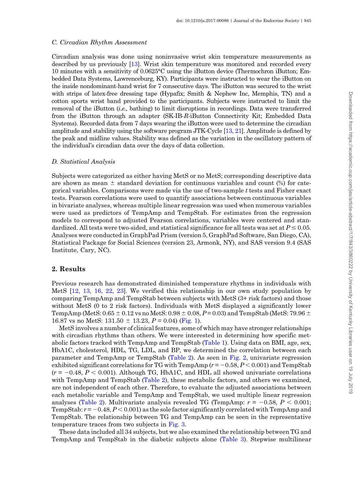#### C. Circadian Rhythm Assessment

Circadian analysis was done using noninvasive wrist skin temperature measurements as described by us previously [\[13](#page-9-0)]. Wrist skin temperature was monitored and recorded every 10 minutes with a sensitivity of 0.0625°C using the iButton device (Thermochron iButton; Embedded Data Systems, Lawrenceburg, KY). Participants were instructed to wear the iButton on the inside nondominant-hand wrist for 7 consecutive days. The iButton was secured to the wrist with strips of latex-free dressing tape (Hypafix; Smith & Nephew Inc, Memphis, TN) and a cotton sports wrist band provided to the participants. Subjects were instructed to limit the removal of the iButton (i.e., bathing) to limit disruptions in recordings. Data were transferred from the iButton through an adapter (SK-IB-R-iButton Connectivity Kit; Embedded Data Systems). Recorded data from 7 days wearing the iButton were used to determine the circadian amplitude and stability using the software program JTK-Cycle [\[13, 21](#page-9-0)]. Amplitude is defined by the peak and midline values. Stability was defined as the variation in the oscillatory pattern of the individual's circadian data over the days of data collection.

#### D. Statistical Analysis

Subjects were categorized as either having MetS or no MetS; corresponding descriptive data are shown as mean  $\pm$  standard deviation for continuous variables and count (%) for categorical variables. Comparisons were made via the use of two-sample t tests and Fisher exact tests. Pearson correlations were used to quantify associations between continuous variables in bivariate analyses, whereas multiple linear regression was used when numerous variables were used as predictors of TempAmp and TempStab. For estimates from the regression models to correspond to adjusted Pearson correlations, variables were centered and standardized. All tests were two-sided, and statistical significance for all tests was set at  $P \le 0.05$ . Analyses were conducted in GraphPad Prism (version 5, GraphPad Software, San Diego, CA), Statistical Package for Social Sciences (version 23, Armonk, NY), and SAS version 9.4 (SAS Institute, Cary, NC).

# 2. Results

Previous research has demonstrated diminished temperature rhythms in individuals with MetS [\[12, 13, 16, 22, 23](#page-9-0)]. We verified this relationship in our own study population by comparing TempAmp and TempStab between subjects with MetS (3+ risk factors) and those without MetS (0 to 2 risk factors). Individuals with MetS displayed a significantly lower TempAmp (MetS:  $0.65 \pm 0.12$  vs no MetS:  $0.98 \pm 0.08$ ,  $P = 0.03$ ) and TempStab (MetS: 79.96  $\pm$ 16.87 vs no MetS:  $131.50 \pm 13.23$ ,  $P = 0.04$ ) [\(Fig. 1\)](#page-5-0).

MetS involves a number of clinical features, some of which may have stronger relationships with circadian rhythms than others. We were interested in determining how specific metabolic factors tracked with TempAmp and TempStab [\(Table 1\)](#page-5-0). Using data on BMI, age, sex, HbA1C, cholesterol, HDL, TG, LDL, and BP, we determined the correlation between each parameter and TempAmp or TempStab ([Table 2\)](#page-6-0). As seen in [Fig. 2,](#page-6-0) univariate regression exhibited significant correlations for TG with TempAmp ( $r = -0.58$ ,  $P < 0.001$ ) and TempStab  $(r = -0.48, P < 0.001)$ . Although TG, HbA1C, and HDL all showed univariate correlations with TempAmp and TempStab ([Table 2](#page-6-0)), these metabolic factors, and others we examined, are not independent of each other. Therefore, to evaluate the adjusted associations between each metabolic variable and TempAmp and TempStab, we used multiple linear regression analyses [\(Table 2](#page-6-0)). Multivariate analysis revealed TG (TempAmp:  $r = -0.58$ ,  $P < 0.001$ ; TempStab:  $r = -0.48$ ,  $P < 0.001$ ) as the sole factor significantly correlated with TempAmp and TempStab. The relationship between TG and TempAmp can be seen in the representative temperature traces from two subjects in [Fig. 3.](#page-7-0)

These data included all 34 subjects, but we also examined the relationship between TG and TempAmp and TempStab in the diabetic subjects alone [\(Table 3](#page-8-0)). Stepwise multilinear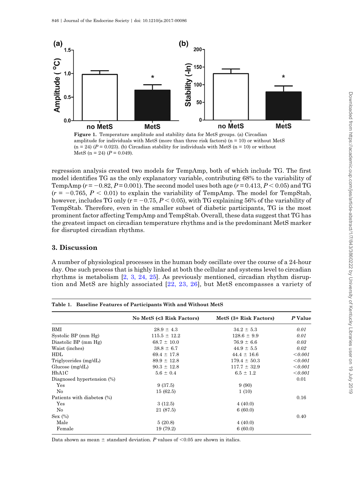<span id="page-5-0"></span>

amplitude for individuals with MetS (more than three risk factors)  $(n = 10)$  or without MetS  $(n = 24)$   $(P = 0.023)$ . (b) Circadian stability for individuals with MetS  $(n = 10)$  or without MetS (n = 24) ( $P = 0.049$ ).

regression analysis created two models for TempAmp, both of which include TG. The first model identifies TG as the only explanatory variable, contributing 68% to the variability of TempAmp ( $r = -0.82$ ,  $P = 0.001$ ). The second model uses both age ( $r = 0.413$ ,  $P < 0.05$ ) and TG  $(r = -0.765, P < 0.01)$  to explain the variability of TempAmp. The model for TempStab, however, includes TG only ( $r = -0.75$ ,  $P < 0.05$ ), with TG explaining 56% of the variability of TempStab. Therefore, even in the smaller subset of diabetic participants, TG is the most prominent factor affecting TempAmp and TempStab. Overall, these data suggest that TG has the greatest impact on circadian temperature rhythms and is the predominant MetS marker for disrupted circadian rhythms.

# 3. Discussion

A number of physiological processes in the human body oscillate over the course of a 24-hour day. One such process that is highly linked at both the cellular and systems level to circadian rhythms is metabolism [[2, 3, 24, 25\]](#page-9-0). As previously mentioned, circadian rhythm disruption and MetS are highly associated [[22, 23, 26\]](#page-10-0), but MetS encompasses a variety of

|                            | No MetS (<3 Risk Factors) | MetS (3+ Risk Factors) | P Value |  |
|----------------------------|---------------------------|------------------------|---------|--|
| BMI                        | $28.9 \pm 4.3$            | $34.2 \pm 5.3$         | 0.01    |  |
| Systolic BP (mm Hg)        | $115.5 \pm 12.2$          | $128.6 \pm 9.9$        | 0.01    |  |
| Diastolic BP (mm Hg)       | $68.7 \pm 10.0$           | $76.9 \pm 6.6$         | 0.03    |  |
| Waist (inches)             | $38.8 \pm 6.7$            | $44.9 \pm 5.5$         | 0.02    |  |
| HDL                        | $69.4 \pm 17.8$           | $44.4 \pm 16.6$        | < 0.001 |  |
| Triglycerides (mg/dL)      | $89.9 \pm 12.8$           | $179.4 \pm 50.3$       | < 0.001 |  |
| Glucose $(mg/dL)$          | $90.3 \pm 12.8$           | $117.7 \pm 32.9$       | < 0.001 |  |
| HbA1C                      | $5.6 \pm 0.4$             | $6.5 \pm 1.2$          | < 0.001 |  |
| Diagnosed hypertension (%) |                           |                        | 0.01    |  |
| Yes                        | 9(37.5)                   | 9(90)                  |         |  |
| No                         | 15(62.5)                  | 1(10)                  |         |  |
| Patients with diabetes (%) |                           |                        | 0.16    |  |
| Yes                        | 3(12.5)                   | 4(40.0)                |         |  |
| No                         | 21 (87.5)                 | 6(60.0)                |         |  |
| $Sex(\%)$                  |                           |                        | 0.40    |  |
| Male                       | 5(20.8)                   | 4(40.0)                |         |  |
| Female                     | 19 (79.2)                 | 6(60.0)                |         |  |

Data shown as mean  $\pm$  standard deviation. P values of <0.05 are shown in italics.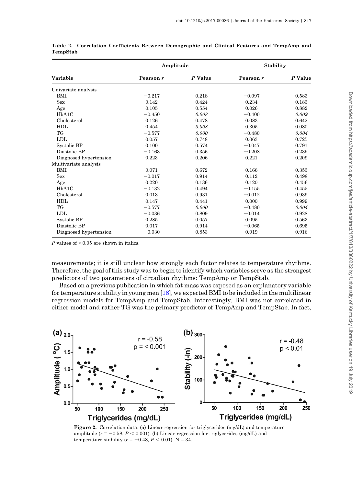|                        | Amplitude |         | <b>Stability</b> |         |  |
|------------------------|-----------|---------|------------------|---------|--|
| <b>Variable</b>        | Pearson r | P Value | Pearson r        | P Value |  |
| Univariate analysis    |           |         |                  |         |  |
| BMI                    | $-0.217$  | 0.218   | $-0.097$         | 0.583   |  |
| Sex                    | 0.142     | 0.424   | 0.234            | 0.183   |  |
| Age                    | 0.105     | 0.554   | 0.026            | 0.882   |  |
| HbA1C                  | $-0.450$  | 0.008   | $-0.400$         | 0.009   |  |
| Cholesterol            | 0.126     | 0.478   | 0.083            | 0.642   |  |
| <b>HDL</b>             | 0.454     | 0.008   | 0.305            | 0.080   |  |
| TG                     | $-0.577$  | 0.000   | $-0.480$         | 0.004   |  |
| LDL                    | 0.057     | 0.748   | 0.063            | 0.725   |  |
| Systolic BP            | 0.100     | 0.574   | $-0.047$         | 0.791   |  |
| Diastolic BP           | $-0.163$  | 0.356   | $-0.208$         | 0.239   |  |
| Diagnosed hypertension | 0.223     | 0.206   | 0.221            | 0.209   |  |
| Multivariate analysis  |           |         |                  |         |  |
| BMI                    | 0.071     | 0.672   | 0.166            | 0.353   |  |
| Sex                    | $-0.017$  | 0.914   | 0.112            | 0.498   |  |
| Age                    | 0.220     | 0.136   | 0.120            | 0.456   |  |
| HbA1C                  | $-0.132$  | 0.494   | $-0.155$         | 0.455   |  |
| Cholesterol            | 0.013     | 0.931   | $-0.012$         | 0.939   |  |
| <b>HDL</b>             | 0.147     | 0.441   | 0.000            | 0.999   |  |
| TG                     | $-0.577$  | 0.000   | $-0.480$         | 0.004   |  |
| <b>LDL</b>             | $-0.036$  | 0.809   | $-0.014$         | 0.928   |  |
| Systolic BP            | 0.285     | 0.057   | 0.095            | 0.563   |  |
| Diastolic BP           | 0.017     | 0.914   | $-0.065$         | 0.695   |  |
| Diagnosed hypertension | $-0.030$  | 0.853   | 0.019            | 0.916   |  |

<span id="page-6-0"></span>Table 2. Correlation Coefficients Between Demographic and Clinical Features and TempAmp and TempStab

 $P$  values of  $< 0.05$  are shown in italics.

measurements; it is still unclear how strongly each factor relates to temperature rhythms. Therefore, the goal of this study was to begin to identify which variables serve as the strongest predictors of two parameters of circadian rhythms: TempAmp or TempStab.

Based on a previous publication in which fat mass was exposed as an explanatory variable for temperature stability in young men [[18\]](#page-9-0), we expected BMI to be included in the multilinear regression models for TempAmp and TempStab. Interestingly, BMI was not correlated in either model and rather TG was the primary predictor of TempAmp and TempStab. In fact,



Figure 2. Correlation data. (a) Linear regression for triglycerides (mg/dL) and temperature amplitude ( $r = -0.58$ ,  $P < 0.001$ ). (b) Linear regression for triglycerides (mg/dL) and temperature stability ( $r = -0.48$ ,  $P < 0.01$ ). N = 34.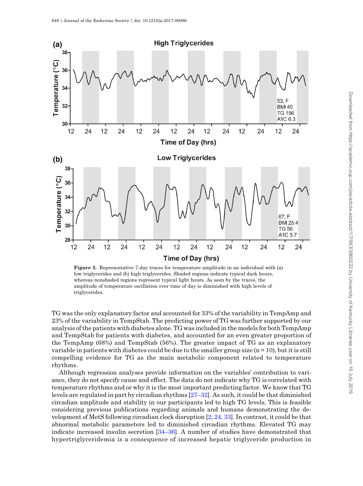<span id="page-7-0"></span>

Figure 3. Representative 7-day traces for temperature amplitude in an individual with (a) low triglycerides and (b) high triglycerides. Shaded regions indicate typical dark hours, whereas nonshaded regions represent typical light hours. As seen by the traces, the amplitude of temperature oscillation over time of day is diminished with high levels of triglycerides.

TG was the only explanatory factor and accounted for 33% of the variability in TempAmp and 23% of the variability in TempStab. The predicting power of TG was further supported by our analysis of the patients with diabetes alone. TG was included in the models for both TempAmp and TempStab for patients with diabetes, and accounted for an even greater proportion of the TempAmp (68%) and TempStab (56%). The greater impact of TG as an explanatory variable in patients with diabetes could be due to the smaller group size  $(n = 10)$ , but it is still compelling evidence for TG as the main metabolic component related to temperature rhythms.

Although regression analyses provide information on the variables' contribution to variance, they do not specify cause and effect. The data do not indicate why TG is correlated with temperature rhythms and or why it is the most important predicting factor. We know that TG levels are regulated in part by circadian rhythms [\[27](#page-10-0)–[32\]](#page-10-0). As such, it could be that diminished circadian amplitude and stability in our participants led to high TG levels. This is feasible considering previous publications regarding animals and humans demonstrating the development of MetS following circadian clock disruption [\[2, 24, 33](#page-9-0)]. In contrast, it could be that abnormal metabolic parameters led to diminished circadian rhythms. Elevated TG may indicate increased insulin secretion [[34](#page-10-0)–[36](#page-10-0)]. A number of studies have demonstrated that hypertriglyceridemia is a consequence of increased hepatic triglyceride production in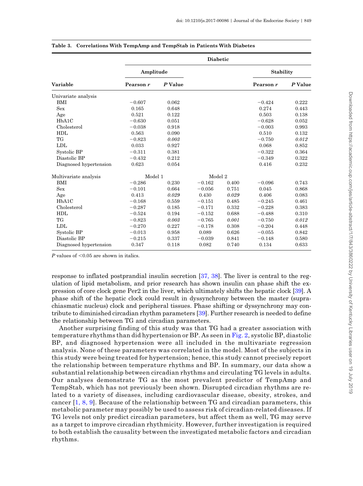|                        | <b>Diabetic</b> |         |          |       |                  |         |  |
|------------------------|-----------------|---------|----------|-------|------------------|---------|--|
|                        | Amplitude       |         |          |       | <b>Stability</b> |         |  |
| Variable               | Pearson r       | P Value |          |       | Pearson r        | P Value |  |
| Univariate analysis    |                 |         |          |       |                  |         |  |
| <b>BMI</b>             | $-0.607$        | 0.062   |          |       | $-0.424$         | 0.222   |  |
| <b>Sex</b>             | 0.165           | 0.648   |          |       | 0.274            | 0.443   |  |
| Age                    | 0.521           | 0.122   |          |       | 0.503            | 0.138   |  |
| HbA1C                  | $-0.630$        | 0.051   |          |       | $-0.628$         | 0.052   |  |
| Cholesterol            | $-0.038$        | 0.918   |          |       | $-0.003$         | 0.993   |  |
| <b>HDL</b>             | 0.563           | 0.090   |          |       | 0.510            | 0.132   |  |
| TG                     | $-0.823$        | 0.003   |          |       | $-0.750$         | 0.012   |  |
| <b>LDL</b>             | 0.033           | 0.927   |          |       | 0.068            | 0.852   |  |
| Systolic BP            | $-0.311$        | 0.381   |          |       | $-0.322$         | 0.364   |  |
| Diastolic BP           | $-0.432$        | 0.212   |          |       | $-0.349$         | 0.322   |  |
| Diagnosed hypertension | 0.623           | 0.054   |          |       | 0.416            | 0.232   |  |
| Multivariate analysis  | Model 1         |         | Model 2  |       |                  |         |  |
| BMI                    | $-0.286$        | 0.230   | $-0.162$ | 0.400 | $-0.096$         | 0.743   |  |
| <b>Sex</b>             | $-0.101$        | 0.664   | $-0.056$ | 0.751 | 0.045            | 0.868   |  |
| Age                    | 0.413           | 0.029   | 0.430    | 0.029 | 0.406            | 0.083   |  |
| HbA1C                  | $-0.168$        | 0.559   | $-0.151$ | 0.485 | $-0.245$         | 0.461   |  |
| Cholesterol            | $-0.287$        | 0.185   | $-0.171$ | 0.332 | $-0.228$         | 0.383   |  |
| <b>HDL</b>             | $-0.524$        | 0.194   | $-0.152$ | 0.688 | $-0.488$         | 0.310   |  |
| TG                     | $-0.823$        | 0.003   | $-0.765$ | 0.001 | $-0.750$         | 0.012   |  |
| <b>LDL</b>             | $-0.270$        | 0.227   | $-0.178$ | 0.308 | $-0.204$         | 0.448   |  |
| Systolic BP            | $-0.013$        | 0.958   | 0.089    | 0.626 | $-0.055$         | 0.842   |  |
| Diastolic BP           | $-0.215$        | 0.337   | $-0.039$ | 0.841 | $-0.148$         | 0.580   |  |
| Diagnosed hypertension | 0.347           | 0.118   | 0.082    | 0.740 | 0.134            | 0.633   |  |

<span id="page-8-0"></span>

|  |  |  | Table 3. Correlations With TempAmp and TempStab in Patients With Diabetes |  |  |  |  |  |
|--|--|--|---------------------------------------------------------------------------|--|--|--|--|--|
|--|--|--|---------------------------------------------------------------------------|--|--|--|--|--|

P values of  $< 0.05$  are shown in italics.

response to inflated postprandial insulin secretion [\[37, 38\]](#page-10-0). The liver is central to the regulation of lipid metabolism, and prior research has shown insulin can phase shift the expression of core clock gene Per2 in the liver, which ultimately shifts the hepatic clock [\[39](#page-10-0)]. A phase shift of the hepatic clock could result in dyssynchrony between the master (suprachiasmatic nucleus) clock and peripheral tissues. Phase shifting or dyssynchrony may contribute to diminished circadian rhythm parameters [[39\]](#page-10-0). Further research is needed to define the relationship between TG and circadian parameters.

Another surprising finding of this study was that TG had a greater association with temperature rhythms than did hypertension or BP. As seen in [Fig. 2,](#page-6-0) systolic BP, diastolic BP, and diagnosed hypertension were all included in the multivariate regression analysis. None of these parameters was correlated in the model. Most of the subjects in this study were being treated for hypertension; hence, this study cannot precisely report the relationship between temperature rhythms and BP. In summary, our data show a substantial relationship between circadian rhythms and circulating TG levels in adults. Our analyses demonstrate TG as the most prevalent predictor of TempAmp and TempStab, which has not previously been shown. Disrupted circadian rhythms are related to a variety of diseases, including cardiovascular disease, obesity, strokes, and cancer [[1, 8, 9\]](#page-9-0). Because of the relationship between TG and circadian parameters, this metabolic parameter may possibly be used to assess risk of circadian-related diseases. If TG levels not only predict circadian parameters, but affect them as well, TG may serve as a target to improve circadian rhythmicity. However, further investigation is required to both establish the causality between the investigated metabolic factors and circadian rhythms.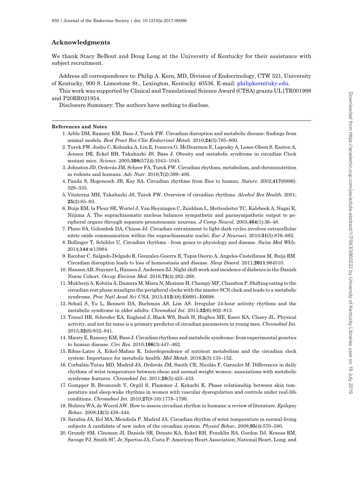### <span id="page-9-0"></span>Acknowledgments

We thank Stacy BeBout and Doug Long at the University of Kentucky for their assistance with subject recruitment.

Address all correspondence to: Philip A. Kern, MD, Division of Endocrinology, CTW 521, University of Kentucky, 900 S. Limestone St., Lexington, Kentucky 40536. E-mail: [philipkern@uky.edu.](mailto:philipkern@uky.edu)

This work was supported by Clinical and Translational Science Award (CTSA) grants UL1TR001998 and P20RR021954.

Disclosure Summary: The authors have nothing to disclose.

#### References and Notes

- 1. Arble DM, Ramsey KM, Bass J, Turek FW. Circadian disruption and metabolic disease: findings from animal models. Best Pract Res Clin Endocrinol Metab. 2010;24(5):785–800.
- 2. Turek FW, Joshu C, Kohsaka A, Lin E, Ivanova G, McDearmon E, Laposky A, Losee-Olson S, Easton A, Jensen DR, Eckel RH, Takahashi JS, Bass J. Obesity and metabolic syndrome in circadian Clock mutant mice. Science. 2005;308(5724):1043–1045.
- 3. Johnston JD, Ordovás JM, Scheer FA, Turek FW. Circadian rhythms, metabolism, and chrononutrition in rodents and humans. Adv Nutr. 2016;7(2):399–406.
- 4. Panda S, Hogenesch JB, Kay SA. Circadian rhythms from flies to human. Nature. 2002;417(6886): 329–335.
- 5. Vitaterna MH, Takahashi JS, Turek FW. Overview of circadian rhythms. Alcohol Res Health. 2001; 25(2):85–93.
- 6. Buijs RM, la Fleur SE, Wortel J, Van Heyningen C, Zuiddam L, Mettenleiter TC, Kalsbeek A, Nagai K, Niijima A. The suprachiasmatic nucleus balances sympathetic and parasympathetic output to peripheral organs through separate preautonomic neurons. J Comp Neurol. 2003;464(1):36–48.
- 7. Plano SA, Golombek DA, Chiesa JJ. Circadian entrainment to light-dark cycles involves extracellular nitric oxide communication within the suprachiasmatic nuclei. Eur J Neurosci. 2010;31(5):876–882.
- 8. Bollinger T, Schibler U. Circadian rhythms from genes to physiology and disease. Swiss Med Wkly. 2014;144:w13984.
- 9. Escobar C, Salgado-Delgado R, Gonzalez-Guerra E, Tapia Osorio A, Angeles-Castellanos M, Buijs RM. Circadian disruption leads to loss of homeostasis and disease. Sleep Disord. 2011;2011:964510.
- 10. Hansen AB, Stayner L, Hansen J, Andersen ZJ. Night shift work and incidence of diabetes in the Danish Nurse Cohort. Occup Environ Med. 2016;73(4):262–268.
- 11. Mukherji A, Kobiita A, Damara M, Misra N, Meziane H, Champy MF, Chambon P. Shifting eating to the circadian rest phase misaligns the peripheral clocks with the master SCN clock and leads to a metabolic syndrome. Proc Natl Acad Sci USA. 2015;112(48):E6691–E6698.
- 12. Sohail S, Yu L, Bennett DA, Buchman AS, Lim AS. Irregular 24-hour activity rhythms and the metabolic syndrome in older adults. Chronobiol Int. 2015;32(6):802–813.
- 13. Tranel HR, Schroder EA, England J, Black WS, Bush H, Hughes ME, Esser KA, Clasey JL. Physical activity, and not fat mass is a primary predictor of circadian parameters in young men. Chronobiol Int. 2015;32(6):832–841.
- 14. Maury E, Ramsey KM, Bass J. Circadian rhythms and metabolic syndrome: from experimental genetics to human disease. Circ Res. 2010;106(3):447–462.
- 15. Ribas-Latre A, Eckel-Mahan K. Interdependence of nutrient metabolism and the circadian clock system: Importance for metabolic health. Mol Metab. 2016;5(3):133–152.
- 16. Corbalán-Tutau MD, Madrid JA, Ordovás JM, Smith CE, Nicolás F, Garaulet M. Differences in daily rhythms of wrist temperature between obese and normal-weight women: associations with metabolic syndrome features. Chronobiol Int. 2011;28(5):425–433.
- 17. Gompper B, Bromundt V, Orgül S, Flammer J, Kräuchi K. Phase relationship between skin temperature and sleep-wake rhythms in women with vascular dysregulation and controls under real-life conditions. Chronobiol Int. 2010;27(9-10):1778–1796.
- 18. Hofstra WA, de Weerd AW. How to assess circadian rhythm in humans: a review of literature. Epilepsy Behav. 2008;13(3):438–444.
- 19. Sarabia JA, Rol MA, Mendiola P, Madrid JA. Circadian rhythm of wrist temperature in normal-living subjects A candidate of new index of the circadian system. Physiol Behav. 2008;95(4):570–580.
- 20. Grundy SM, Cleeman JI, Daniels SR, Donato KA, Eckel RH, Franklin BA, Gordon DJ, Krauss RM, Savage PJ, Smith SC, Jr, Spertus JA, Costa F; American Heart Association; National Heart, Lung, and